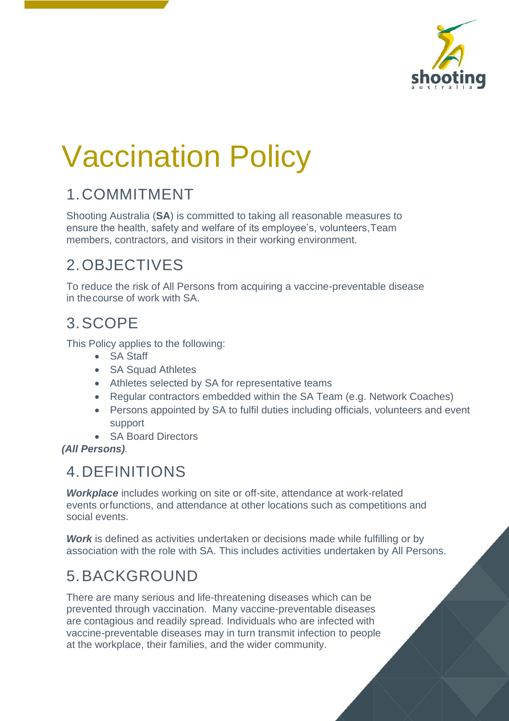

# Vaccination Policy

### 1.COMMITMENT

Shooting Australia (**SA**) is committed to taking all reasonable measures to ensure the health, safety and welfare of its employee's, volunteers,Team members, contractors, and visitors in their working environment.

### 2.OBJECTIVES

To reduce the risk of All Persons from acquiring a vaccine-preventable disease in thecourse of work with SA.

#### 3.SCOPE

This Policy applies to the following:

- SA Staff
- SA Squad Athletes
- Athletes selected by SA for representative teams
- Regular contractors embedded within the SA Team (e.g. Network Coaches)
- Persons appointed by SA to fulfil duties including officials, volunteers and event support
- SA Board Directors

*(All Persons).*

#### 4.DEFINITIONS

**Workplace** includes working on site or off-site, attendance at work-related events orfunctions, and attendance at other locations such as competitions and social events.

**Work** is defined as activities undertaken or decisions made while fulfilling or by association with the role with SA. This includes activities undertaken by All Persons.

# 5.BACKGROUND

There are many serious and life-threatening diseases which can be prevented through vaccination. Many vaccine-preventable diseases are contagious and readily spread. Individuals who are infected with vaccine-preventable diseases may in turn transmit infection to people at the workplace, their families, and the wider community.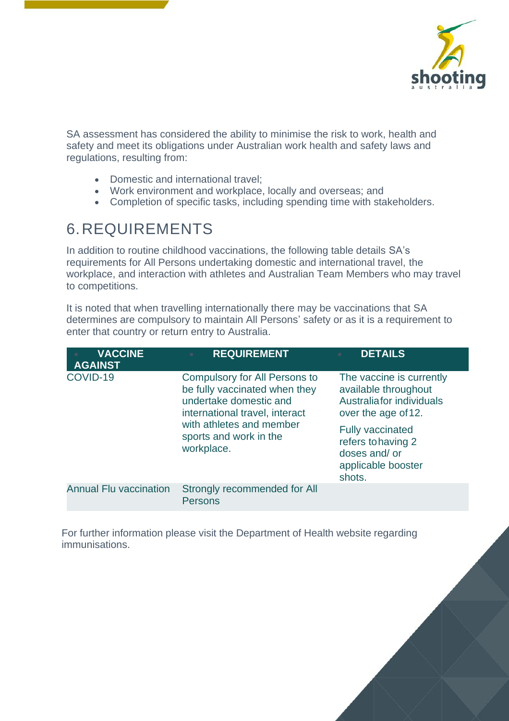

SA assessment has considered the ability to minimise the risk to work, health and safety and meet its obligations under Australian work health and safety laws and regulations, resulting from:

- Domestic and international travel;
- Work environment and workplace, locally and overseas; and
- Completion of specific tasks, including spending time with stakeholders.

## 6.REQUIREMENTS

In addition to routine childhood vaccinations, the following table details SA's requirements for All Persons undertaking domestic and international travel, the workplace, and interaction with athletes and Australian Team Members who may travel to competitions.

It is noted that when travelling internationally there may be vaccinations that SA determines are compulsory to maintain All Persons' safety or as it is a requirement to enter that country or return entry to Australia.

| <b>VACCINE</b><br><b>AGAINST</b> | <b>REQUIREMENT</b><br>٠                                                                                                                                                                               | <b>DETAILS</b>                                                                                                                                                                                        |
|----------------------------------|-------------------------------------------------------------------------------------------------------------------------------------------------------------------------------------------------------|-------------------------------------------------------------------------------------------------------------------------------------------------------------------------------------------------------|
| COVID-19                         | <b>Compulsory for All Persons to</b><br>be fully vaccinated when they<br>undertake domestic and<br>international travel, interact<br>with athletes and member<br>sports and work in the<br>workplace. | The vaccine is currently<br>available throughout<br>Australia for individuals<br>over the age of 12.<br><b>Fully vaccinated</b><br>refers to having 2<br>doses and/or<br>applicable booster<br>shots. |
| <b>Annual Flu vaccination</b>    | Strongly recommended for All<br><b>Persons</b>                                                                                                                                                        |                                                                                                                                                                                                       |

For further information please visit the Department of Health website regarding immunisations.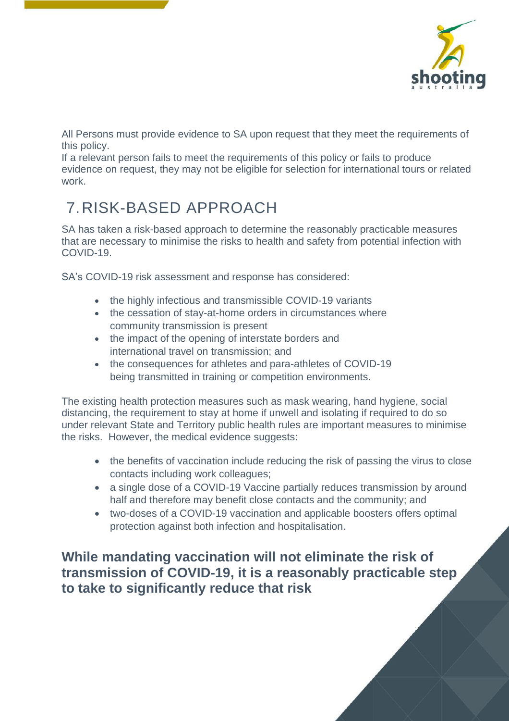

All Persons must provide evidence to SA upon request that they meet the requirements of this policy.

If a relevant person fails to meet the requirements of this policy or fails to produce evidence on request, they may not be eligible for selection for international tours or related work.

# 7.RISK-BASED APPROACH

SA has taken a risk-based approach to determine the reasonably practicable measures that are necessary to minimise the risks to health and safety from potential infection with COVID-19.

SA's COVID-19 risk assessment and response has considered:

- the highly infectious and transmissible COVID-19 variants
- the cessation of stay-at-home orders in circumstances where community transmission is present
- the impact of the opening of interstate borders and international travel on transmission; and
- the consequences for athletes and para-athletes of COVID-19 being transmitted in training or competition environments.

The existing health protection measures such as mask wearing, hand hygiene, social distancing, the requirement to stay at home if unwell and isolating if required to do so under relevant State and Territory public health rules are important measures to minimise the risks. However, the medical evidence suggests:

- the benefits of vaccination include reducing the risk of passing the virus to close contacts including work colleagues;
- a single dose of a COVID-19 Vaccine partially reduces transmission by around half and therefore may benefit close contacts and the community; and
- two-doses of a COVID-19 vaccination and applicable boosters offers optimal protection against both infection and hospitalisation.

**While mandating vaccination will not eliminate the risk of transmission of COVID-19, it is a reasonably practicable step to take to significantly reduce that risk**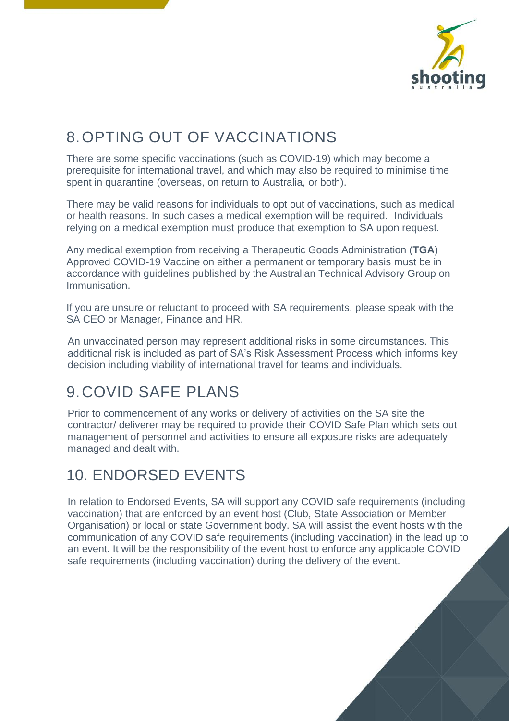

# 8.OPTING OUT OF VACCINATIONS

There are some specific vaccinations (such as COVID-19) which may become a prerequisite for international travel, and which may also be required to minimise time spent in quarantine (overseas, on return to Australia, or both).

There may be valid reasons for individuals to opt out of vaccinations, such as medical or health reasons. In such cases a medical exemption will be required. Individuals relying on a medical exemption must produce that exemption to SA upon request.

Any medical exemption from receiving a Therapeutic Goods Administration (**TGA**) Approved COVID-19 Vaccine on either a permanent or temporary basis must be in accordance with guidelines published by the Australian Technical Advisory Group on Immunisation.

If you are unsure or reluctant to proceed with SA requirements, please speak with the SA CEO or Manager, Finance and HR.

An unvaccinated person may represent additional risks in some circumstances. This additional risk is included as part of SA's Risk Assessment Process which informs key decision including viability of international travel for teams and individuals.

#### 9.COVID SAFE PLANS

Prior to commencement of any works or delivery of activities on the SA site the contractor/ deliverer may be required to provide their COVID Safe Plan which sets out management of personnel and activities to ensure all exposure risks are adequately managed and dealt with.

### 10. ENDORSED EVENTS

In relation to Endorsed Events, SA will support any COVID safe requirements (including vaccination) that are enforced by an event host (Club, State Association or Member Organisation) or local or state Government body. SA will assist the event hosts with the communication of any COVID safe requirements (including vaccination) in the lead up to an event. It will be the responsibility of the event host to enforce any applicable COVID safe requirements (including vaccination) during the delivery of the event.